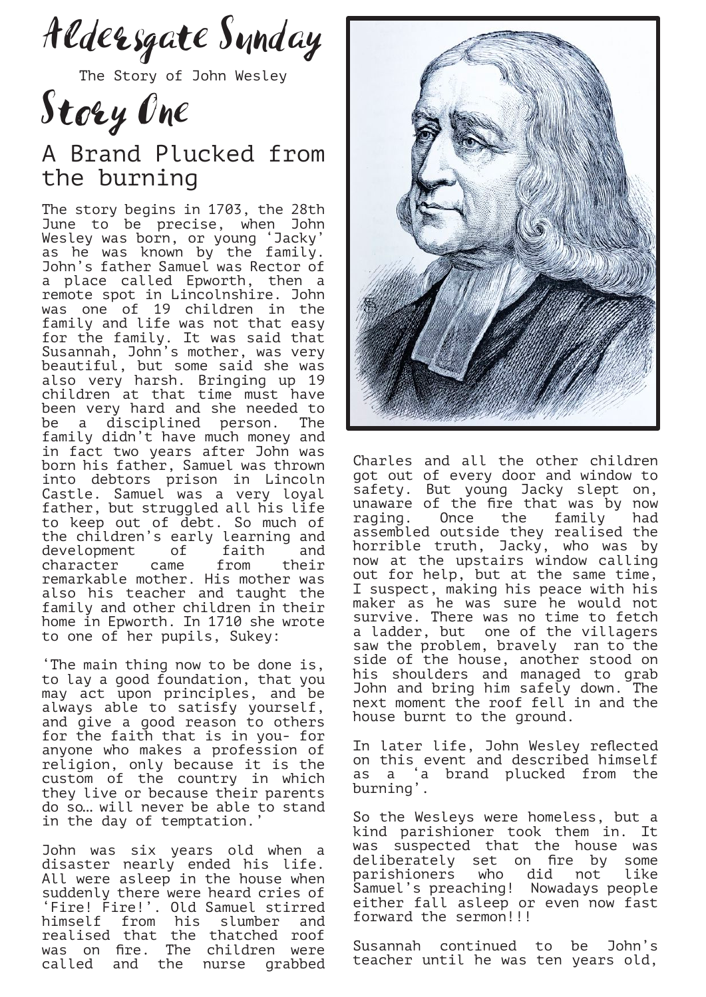Aldersgate Sunday

The Story of John Wesley

Story One

## A Brand Plucked from the burning

The story begins in 1703, the 28th June to be precise, when John Wesley was born, or young 'Jacky' as he was known by the family. John's father Samuel was Rector of a place called Epworth, then a remote spot in Lincolnshire. John was one of 19 children in the family and life was not that easy for the family. It was said that Susannah, John's mother, was very beautiful, but some said she was also very harsh. Bringing up 19 children at that time must have been very hard and she needed to be a disciplined person. The family didn't have much money and in fact two years after John was born his father, Samuel was thrown into debtors prison in Lincoln Castle. Samuel was a very loyal father, but struggled all his life to keep out of debt. So much of the children's early learning and development of faith and<br>character came from their character came from their remarkable mother. His mother was also his teacher and taught the family and other children in their home in Epworth. In 1710 she wrote to one of her pupils, Sukey:

'The main thing now to be done is, to lay a good foundation, that you may act upon principles, and be always able to satisfy yourself, and give a good reason to others for the faith that is in you- for anyone who makes a profession of religion, only because it is the custom of the country in which they live or because their parents do so… will never be able to stand in the day of temptation.

John was six years old when a disaster nearly ended his life. All were asleep in the house when suddenly there were heard cries of Fire! Fire!'. Old Samuel stirred himself from his slumber and realised that the thatched roof was on fire. The children were called and the nurse grabbed



Charles and all the other children got out of every door and window to safety. But young Jacky slept on, unaware of the fire that was by now raging. Once the family had assembled outside they realised the horrible truth, Jacky, who was by now at the upstairs window calling out for help, but at the same time, I suspect, making his peace with his maker as he was sure he would not survive. There was no time to fetch a ladder, but one of the villagers saw the problem, bravely ran to the side of the house, another stood on his shoulders and managed to grab John and bring him safely down. The next moment the roof fell in and the house burnt to the ground.

In later life, John Wesley reflected on this event and described himself as a 'a brand plucked from the burning'.

So the Wesleys were homeless, but a kind parishioner took them in. It was suspected that the house was deliberately set on fire by some parishioners who did not like Samuel's preaching! Nowadays people either fall asleep or even now fast forward the sermon!!!

Susannah continued to be John's teacher until he was ten years old,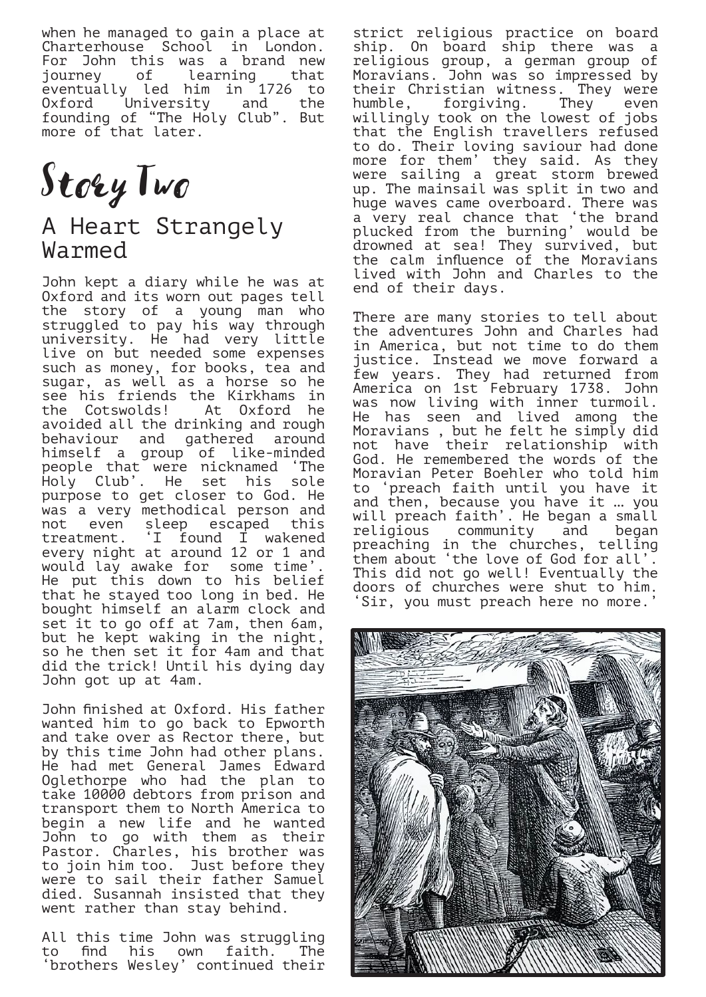when he managed to gain a place at Charterhouse School in London. For John this was a brand new journey of learning that eventually led him in 1726 to<br>Oxford University and the Oxford University and founding of "The Holy Club". But more of that later.

Story Two

## A Heart Strangely Warmed

John kept a diary while he was at Oxford and its worn out pages tell the story of a young man who struggled to pay his way through university. He had very little live on but needed some expenses such as money, for books, tea and sugar, as well as a horse so he see his friends the Kirkhams in<br>the Cotswolds! At Oxford he At Oxford he avoided all the drinking and rough behaviour and gathered around himself a group of like-minded people that were nicknamed 'The Holy Club'. He set his sole purpose to get closer to God. He was a very methodical person and not even sleep escaped this treatment. 'I found I wakened every night at around 12 or 1 and would lay awake for some time'. He put this down to his belief that he stayed too long in bed. He bought himself an alarm clock and set it to go off at 7am, then 6am, but he kept waking in the night, so he then set it for 4am and that did the trick! Until his dying day John got up at 4am.

John finished at Oxford. His father wanted him to go back to Epworth and take over as Rector there, but by this time John had other plans. He had met General James Edward Oglethorpe who had the plan to take 10000 debtors from prison and transport them to North America to begin a new life and he wanted John to go with them as their Pastor. Charles, his brother was to join him too. Just before they were to sail their father Samuel died. Susannah insisted that they went rather than stay behind.

All this time John was struggling to find his own faith. The 'brothers Wesley' continued their

strict religious practice on board ship. On board ship there was a religious group, a german group of Moravians. John was so impressed by their Christian witness. They were<br>humble, forgiving. They even humble, forgiving. They even willingly took on the lowest of jobs that the English travellers refused to do. Their loving saviour had done more for them' they said. As they were sailing a great storm brewed up. The mainsail was split in two and huge waves came overboard. There was a very real chance that 'the brand plucked from the burning' would be drowned at sea! They survived, but the calm influence of the Moravians lived with John and Charles to the end of their days.

There are many stories to tell about the adventures John and Charles had in America, but not time to do them justice. Instead we move forward a few years. They had returned from America on 1st February 1738. John was now living with inner turmoil. He has seen and lived among the Moravians , but he felt he simply did not have their relationship with God. He remembered the words of the Moravian Peter Boehler who told him to 'preach faith until you have it and then, because you have it … you will preach faith'. He began a small religious community and began preaching in the churches, telling them about 'the love of God for all'. This did not go well! Eventually the doors of churches were shut to him. 'Sir, you must preach here no more.'